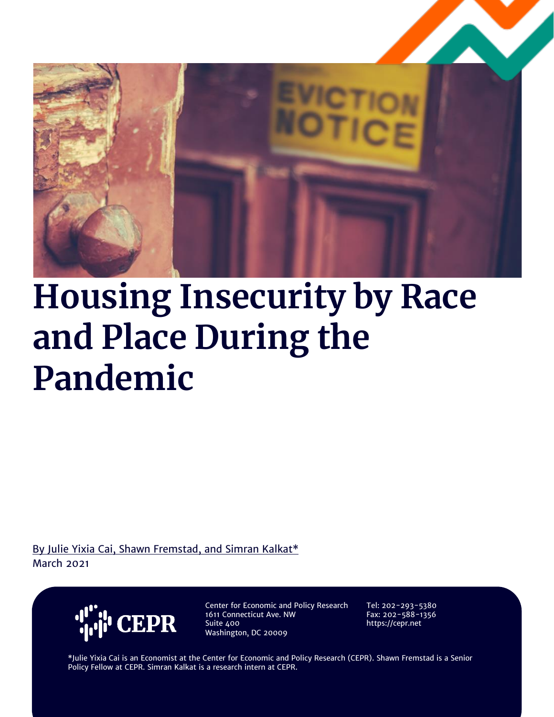

# **Housing Insecurity by Race and Place During the Pandemic**

By Julie Yixia Cai, Shawn Fremstad, and Simran Kalkat\* March 2021



Center for Economic and Policy Research 1611 Connecticut Ave. NW Suite 400 Washington, DC 20009

Tel: 202-293-5380 Fax: 202-588-1356 https://cepr.net

\*Julie Yixia Cai is an Economist at the Center for Economic and Policy Research (CEPR). Shawn Fremstad is a Senior Policy Fellow at CEPR. Simran Kalkat is a research intern at CEPR.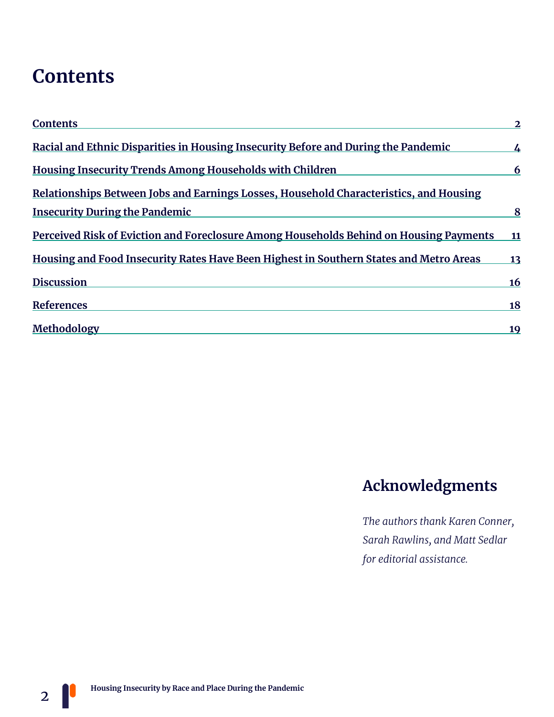### **Contents**

| <b>Contents</b>                                                                        | $\overline{2}$ |
|----------------------------------------------------------------------------------------|----------------|
| Racial and Ethnic Disparities in Housing Insecurity Before and During the Pandemic     | $\overline{4}$ |
| <b>Housing Insecurity Trends Among Households with Children</b>                        | 6              |
| Relationships Between Jobs and Earnings Losses, Household Characteristics, and Housing |                |
| <b>Insecurity During the Pandemic</b>                                                  | 8              |
| Perceived Risk of Eviction and Foreclosure Among Households Behind on Housing Payments | 11             |
| Housing and Food Insecurity Rates Have Been Highest in Southern States and Metro Areas | 13             |
| <b>Discussion</b>                                                                      | 16             |
| References                                                                             | <b>18</b>      |
| Methodology                                                                            | <u>19</u>      |

### **Acknowledgments**

*The authors thank Karen Conner, Sarah Rawlins, and Matt Sedlar for editorial assistance.*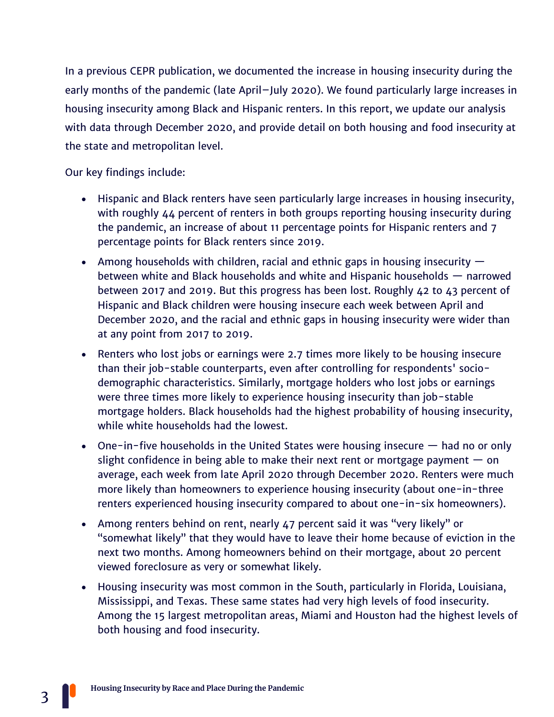In a previous CEPR publication, we documented the increase in housing insecurity during the early months of the pandemic (late April–July 2020). We found particularly large increases in housing insecurity among Black and Hispanic renters. In this report, we update our analysis with data through December 2020, and provide detail on both housing and food insecurity at the state and metropolitan level.

#### Our key findings include:

- Hispanic and Black renters have seen particularly large increases in housing insecurity, with roughly 44 percent of renters in both groups reporting housing insecurity during the pandemic, an increase of about 11 percentage points for Hispanic renters and 7 percentage points for Black renters since 2019.
- Among households with children, racial and ethnic gaps in housing insecurity  $$ between white and Black households and white and Hispanic households — narrowed between 2017 and 2019. But this progress has been lost. Roughly 42 to 43 percent of Hispanic and Black children were housing insecure each week between April and December 2020, and the racial and ethnic gaps in housing insecurity were wider than at any point from 2017 to 2019.
- Renters who lost jobs or earnings were 2.7 times more likely to be housing insecure than their job-stable counterparts, even after controlling for respondents' sociodemographic characteristics. Similarly, mortgage holders who lost jobs or earnings were three times more likely to experience housing insecurity than job-stable mortgage holders. Black households had the highest probability of housing insecurity, while white households had the lowest.
- One-in-five households in the United States were housing insecure  $-$  had no or only slight confidence in being able to make their next rent or mortgage payment  $-$  on average, each week from late April 2020 through December 2020. Renters were much more likely than homeowners to experience housing insecurity (about one-in-three renters experienced housing insecurity compared to about one-in-six homeowners).
- Among renters behind on rent, nearly 47 percent said it was "very likely" or "somewhat likely" that they would have to leave their home because of eviction in the next two months. Among homeowners behind on their mortgage, about 20 percent viewed foreclosure as very or somewhat likely.
- Housing insecurity was most common in the South, particularly in Florida, Louisiana, Mississippi, and Texas. These same states had very high levels of food insecurity. Among the 15 largest metropolitan areas, Miami and Houston had the highest levels of both housing and food insecurity.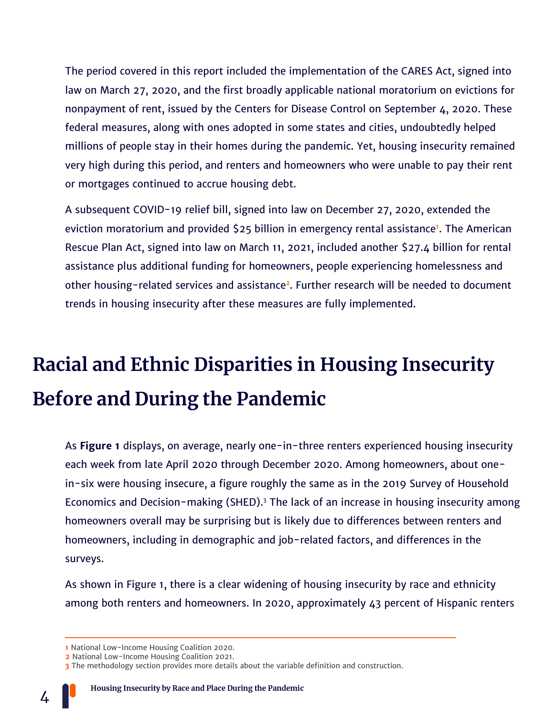The period covered in this report included the implementation of the CARES Act, signed into law on March 27, 2020, and the first broadly applicable national moratorium on evictions for nonpayment of rent, issued by the Centers for Disease Control on September 4, 2020. These federal measures, along with ones adopted in some states and cities, undoubtedly helped millions of people stay in their homes during the pandemic. Yet, housing insecurity remained very high during this period, and renters and homeowners who were unable to pay their rent or mortgages continued to accrue housing debt.

A subsequent COVID-19 relief bill, signed into law on December 27, 2020, extended the eviction moratorium and provided \$25 billion in emergency rental assistance**<sup>1</sup>** . The American Rescue Plan Act, signed into law on March 11, 2021, included another \$27.4 billion for rental assistance plus additional funding for homeowners, people experiencing homelessness and other housing-related services and assistance**<sup>2</sup>** . Further research will be needed to document trends in housing insecurity after these measures are fully implemented.

## **Racial and Ethnic Disparities in Housing Insecurity Before and During the Pandemic**

As **Figure 1** displays, on average, nearly one-in-three renters experienced housing insecurity each week from late April 2020 through December 2020. Among homeowners, about onein-six were housing insecure, a figure roughly the same as in the 2019 Survey of Household Economics and Decision-making (SHED).<sup>3</sup> The lack of an increase in housing insecurity among homeowners overall may be surprising but is likely due to differences between renters and homeowners, including in demographic and job-related factors, and differences in the surveys.

As shown in Figure 1, there is a clear widening of housing insecurity by race and ethnicity among both renters and homeowners. In 2020, approximately 43 percent of Hispanic renters

**<sup>1</sup>** National Low-Income Housing Coalition 2020.

**<sup>2</sup>** National Low-Income Housing Coalition 2021.

**<sup>3</sup>** The methodology section provides more details about the variable definition and construction.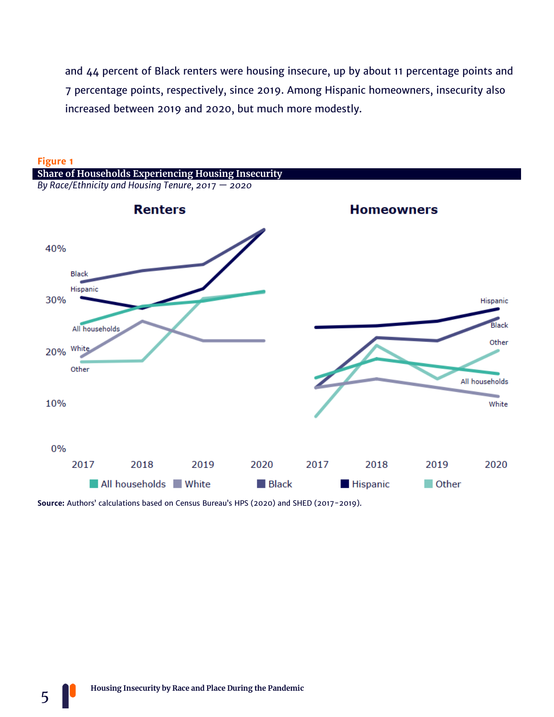and 44 percent of Black renters were housing insecure, up by about 11 percentage points and 7 percentage points, respectively, since 2019. Among Hispanic homeowners, insecurity also increased between 2019 and 2020, but much more modestly.



**Source:** Authors' calculations based on Census Bureau's HPS (2020) and SHED (2017-2019).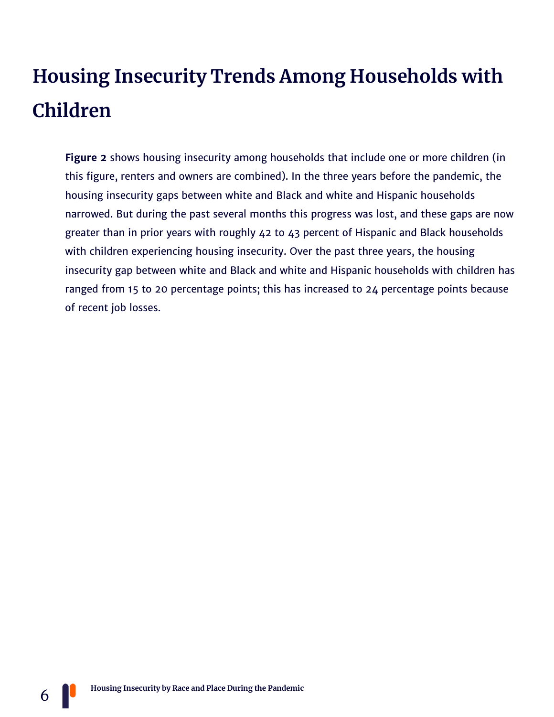## **Housing Insecurity Trends Among Households with Children**

**Figure 2** shows housing insecurity among households that include one or more children (in this figure, renters and owners are combined). In the three years before the pandemic, the housing insecurity gaps between white and Black and white and Hispanic households narrowed. But during the past several months this progress was lost, and these gaps are now greater than in prior years with roughly 42 to 43 percent of Hispanic and Black households with children experiencing housing insecurity. Over the past three years, the housing insecurity gap between white and Black and white and Hispanic households with children has ranged from 15 to 20 percentage points; this has increased to 24 percentage points because of recent job losses.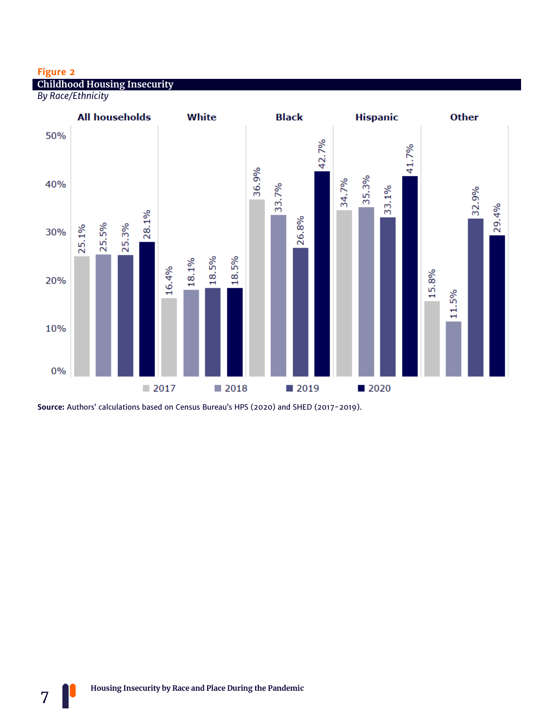#### **Figure 2**

7

**Childhood Housing Insecurity**

*By Race/Ethnicity*



**Source:** Authors' calculations based on Census Bureau's HPS (2020) and SHED (2017-2019).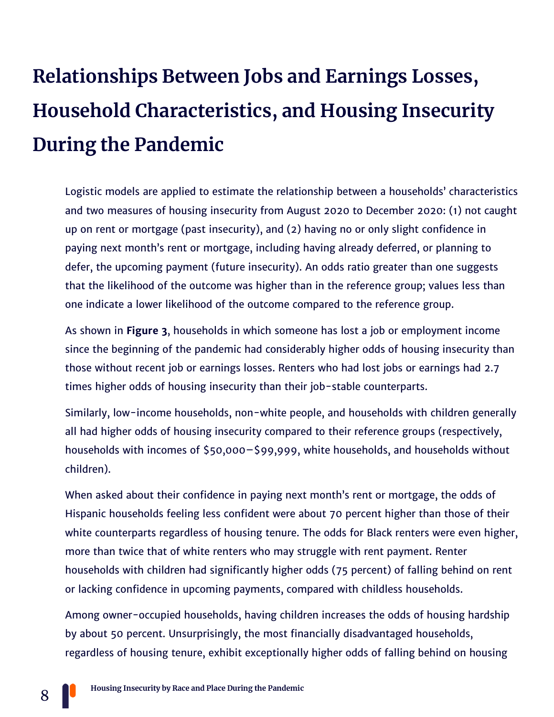## **Relationships Between Jobs and Earnings Losses, Household Characteristics, and Housing Insecurity During the Pandemic**

Logistic models are applied to estimate the relationship between a households' characteristics and two measures of housing insecurity from August 2020 to December 2020: (1) not caught up on rent or mortgage (past insecurity), and (2) having no or only slight confidence in paying next month's rent or mortgage, including having already deferred, or planning to defer, the upcoming payment (future insecurity). An odds ratio greater than one suggests that the likelihood of the outcome was higher than in the reference group; values less than one indicate a lower likelihood of the outcome compared to the reference group.

As shown in **Figure 3**, households in which someone has lost a job or employment income since the beginning of the pandemic had considerably higher odds of housing insecurity than those without recent job or earnings losses. Renters who had lost jobs or earnings had 2.7 times higher odds of housing insecurity than their job-stable counterparts.

Similarly, low-income households, non-white people, and households with children generally all had higher odds of housing insecurity compared to their reference groups (respectively, households with incomes of \$50,000–\$99,999, white households, and households without children).

When asked about their confidence in paying next month's rent or mortgage, the odds of Hispanic households feeling less confident were about 70 percent higher than those of their white counterparts regardless of housing tenure. The odds for Black renters were even higher, more than twice that of white renters who may struggle with rent payment. Renter households with children had significantly higher odds (75 percent) of falling behind on rent or lacking confidence in upcoming payments, compared with childless households.

Among owner-occupied households, having children increases the odds of housing hardship by about 50 percent. Unsurprisingly, the most financially disadvantaged households, regardless of housing tenure, exhibit exceptionally higher odds of falling behind on housing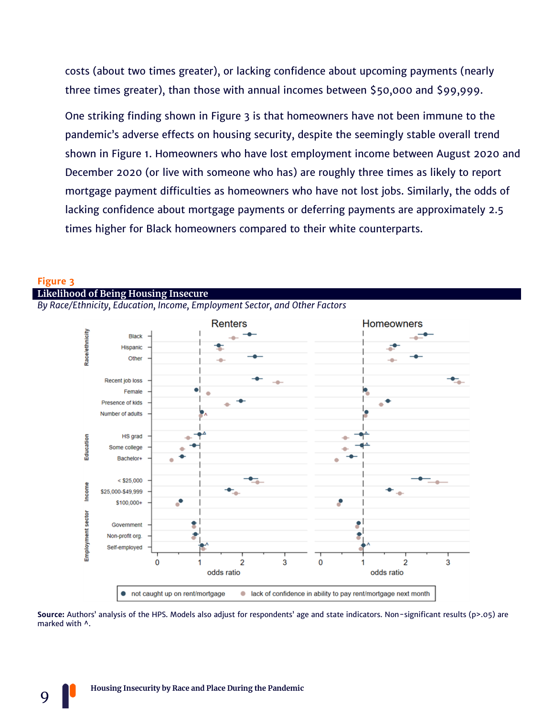costs (about two times greater), or lacking confidence about upcoming payments (nearly three times greater), than those with annual incomes between \$50,000 and \$99,999.

One striking finding shown in Figure 3 is that homeowners have not been immune to the pandemic's adverse effects on housing security, despite the seemingly stable overall trend shown in Figure 1. Homeowners who have lost employment income between August 2020 and December 2020 (or live with someone who has) are roughly three times as likely to report mortgage payment difficulties as homeowners who have not lost jobs. Similarly, the odds of lacking confidence about mortgage payments or deferring payments are approximately 2.5 times higher for Black homeowners compared to their white counterparts.



#### **Likelihood of Being Housing Insecure** *By Race/Ethnicity, Education, Income, Employment Sector, and Other Factors*

**Source:** Authors' analysis of the HPS. Models also adjust for respondents' age and state indicators. Non-significant results (p>.05) are marked with ^.

9

**Figure 3**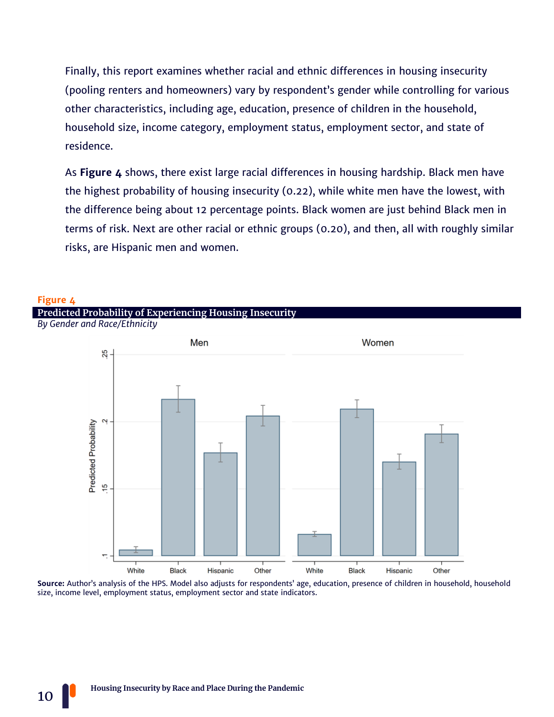Finally, this report examines whether racial and ethnic differences in housing insecurity (pooling renters and homeowners) vary by respondent's gender while controlling for various other characteristics, including age, education, presence of children in the household, household size, income category, employment status, employment sector, and state of residence.

As **Figure 4** shows, there exist large racial differences in housing hardship. Black men have the highest probability of housing insecurity (0.22), while white men have the lowest, with the difference being about 12 percentage points. Black women are just behind Black men in terms of risk. Next are other racial or ethnic groups (0.20), and then, all with roughly similar risks, are Hispanic men and women.



**Source:** Author's analysis of the HPS. Model also adjusts for respondents' age, education, presence of children in household, household size, income level, employment status, employment sector and state indicators.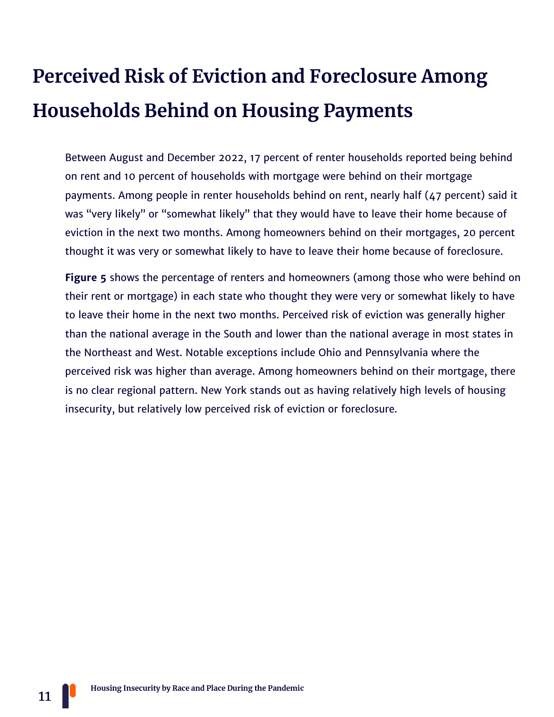## **Perceived Risk of Eviction and Foreclosure Among Households Behind on Housing Payments**

Between August and December 2022, 17 percent of renter households reported being behind on rent and 10 percent of households with mortgage were behind on their mortgage payments. Among people in renter households behind on rent, nearly half (47 percent) said it was "very likely" or "somewhat likely" that they would have to leave their home because of eviction in the next two months. Among homeowners behind on their mortgages, 20 percent thought it was very or somewhat likely to have to leave their home because of foreclosure.

**Figure 5** shows the percentage of renters and homeowners (among those who were behind on their rent or mortgage) in each state who thought they were very or somewhat likely to have to leave their home in the next two months. Perceived risk of eviction was generally higher than the national average in the South and lower than the national average in most states in the Northeast and West. Notable exceptions include Ohio and Pennsylvania where the perceived risk was higher than average. Among homeowners behind on their mortgage, there is no clear regional pattern. New York stands out as having relatively high levels of housing insecurity, but relatively low perceived risk of eviction or foreclosure.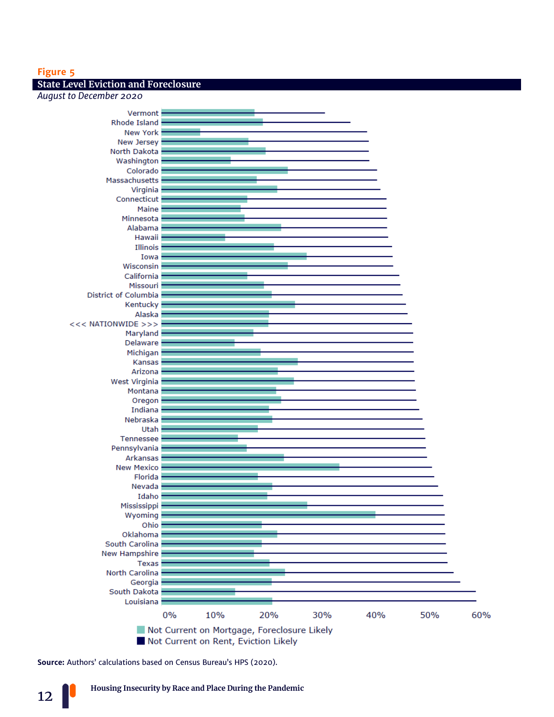#### **Figure 5**

#### **State Level Eviction and Foreclosure**

*August to December 2020*



**Source:** Authors' calculations based on Census Bureau's HPS (2020).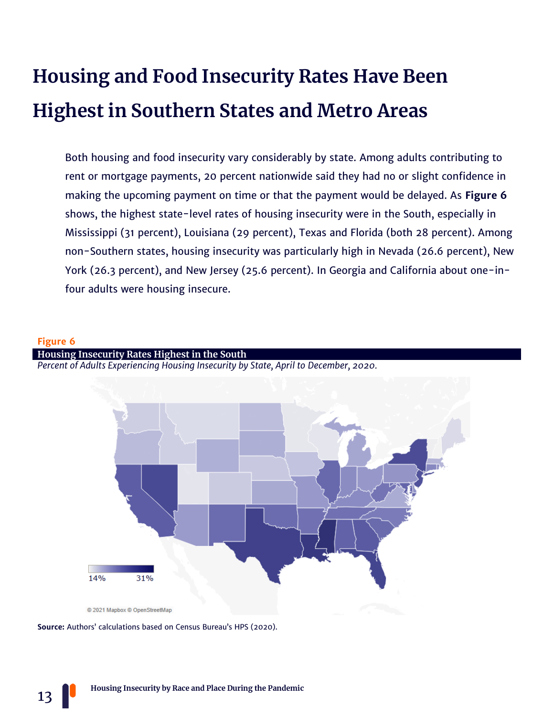## **Housing and Food Insecurity Rates Have Been Highest in Southern States and Metro Areas**

Both housing and food insecurity vary considerably by state. Among adults contributing to rent or mortgage payments, 20 percent nationwide said they had no or slight confidence in making the upcoming payment on time or that the payment would be delayed. As **Figure 6** shows, the highest state-level rates of housing insecurity were in the South, especially in Mississippi (31 percent), Louisiana (29 percent), Texas and Florida (both 28 percent). Among non-Southern states, housing insecurity was particularly high in Nevada (26.6 percent), New York (26.3 percent), and New Jersey (25.6 percent). In Georgia and California about one-infour adults were housing insecure.

#### **Figure 6**

**Housing Insecurity Rates Highest in the South** *Percent of Adults Experiencing Housing Insecurity by State, April to December, 2020.*



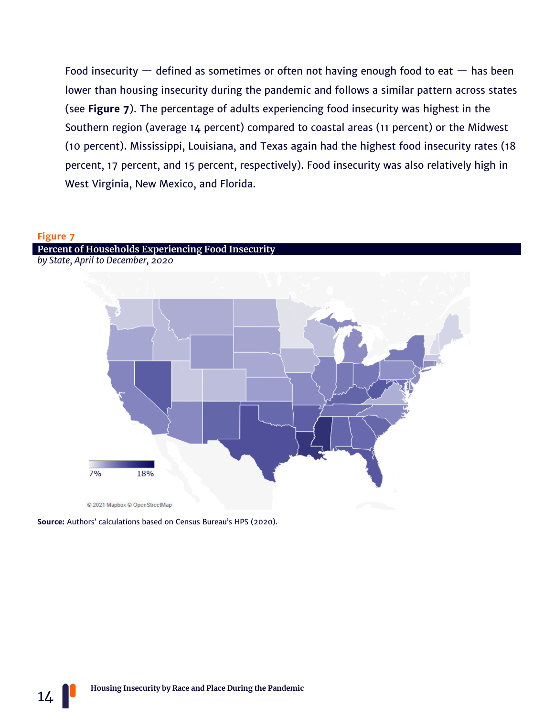Food insecurity  $-$  defined as sometimes or often not having enough food to eat  $-$  has been lower than housing insecurity during the pandemic and follows a similar pattern across states (see **Figure 7**). The percentage of adults experiencing food insecurity was highest in the Southern region (average 14 percent) compared to coastal areas (11 percent) or the Midwest (10 percent). Mississippi, Louisiana, and Texas again had the highest food insecurity rates (18 percent, 17 percent, and 15 percent, respectively). Food insecurity was also relatively high in West Virginia, New Mexico, and Florida.

#### **Figure 7**

 $14$ 





**Source:** Authors' calculations based on Census Bureau's HPS (2020).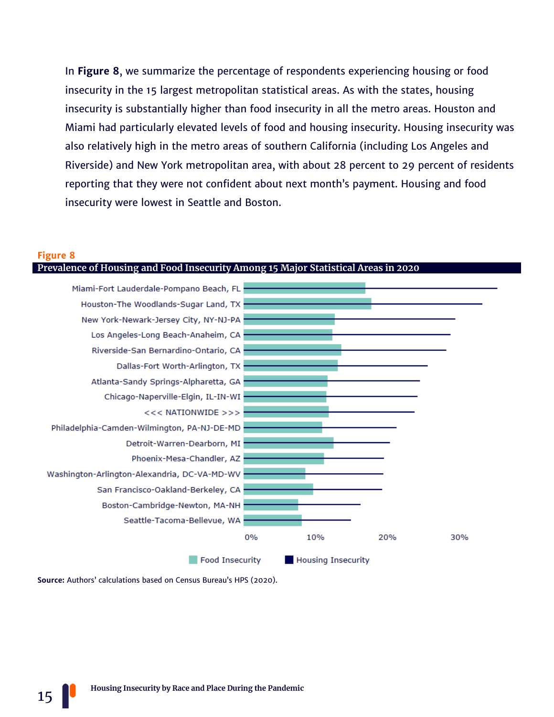In **Figure 8**, we summarize the percentage of respondents experiencing housing or food insecurity in the 15 largest metropolitan statistical areas. As with the states, housing insecurity is substantially higher than food insecurity in all the metro areas. Houston and Miami had particularly elevated levels of food and housing insecurity. Housing insecurity was also relatively high in the metro areas of southern California (including Los Angeles and Riverside) and New York metropolitan area, with about 28 percent to 29 percent of residents reporting that they were not confident about next month's payment. Housing and food insecurity were lowest in Seattle and Boston.

#### **Figure 8**



**Source:** Authors' calculations based on Census Bureau's HPS (2020).

15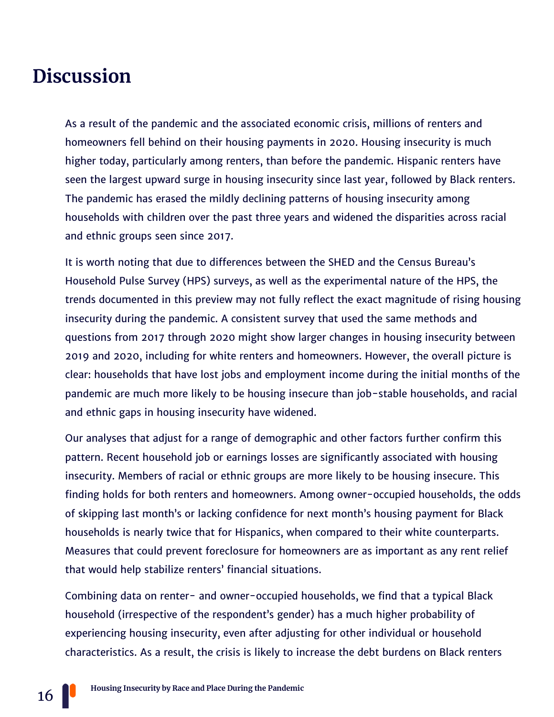### **Discussion**

As a result of the pandemic and the associated economic crisis, millions of renters and homeowners fell behind on their housing payments in 2020. Housing insecurity is much higher today, particularly among renters, than before the pandemic. Hispanic renters have seen the largest upward surge in housing insecurity since last year, followed by Black renters. The pandemic has erased the mildly declining patterns of housing insecurity among households with children over the past three years and widened the disparities across racial and ethnic groups seen since 2017.

It is worth noting that due to differences between the SHED and the Census Bureau's Household Pulse Survey (HPS) surveys, as well as the experimental nature of the HPS, the trends documented in this preview may not fully reflect the exact magnitude of rising housing insecurity during the pandemic. A consistent survey that used the same methods and questions from 2017 through 2020 might show larger changes in housing insecurity between 2019 and 2020, including for white renters and homeowners. However, the overall picture is clear: households that have lost jobs and employment income during the initial months of the pandemic are much more likely to be housing insecure than job-stable households, and racial and ethnic gaps in housing insecurity have widened.

Our analyses that adjust for a range of demographic and other factors further confirm this pattern. Recent household job or earnings losses are significantly associated with housing insecurity. Members of racial or ethnic groups are more likely to be housing insecure. This finding holds for both renters and homeowners. Among owner-occupied households, the odds of skipping last month's or lacking confidence for next month's housing payment for Black households is nearly twice that for Hispanics, when compared to their white counterparts. Measures that could prevent foreclosure for homeowners are as important as any rent relief that would help stabilize renters' financial situations.

Combining data on renter- and owner-occupied households, we find that a typical Black household (irrespective of the respondent's gender) has a much higher probability of experiencing housing insecurity, even after adjusting for other individual or household characteristics. As a result, the crisis is likely to increase the debt burdens on Black renters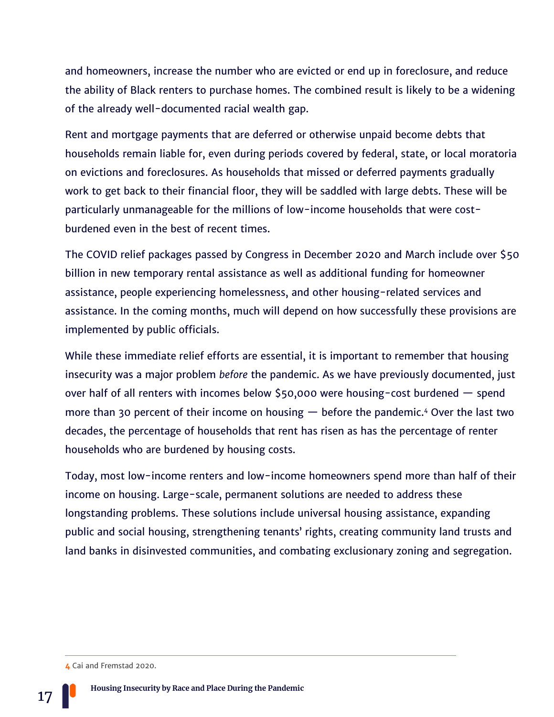and homeowners, increase the number who are evicted or end up in foreclosure, and reduce the ability of Black renters to purchase homes. The combined result is likely to be a widening of the already well-documented racial wealth gap.

Rent and mortgage payments that are deferred or otherwise unpaid become debts that households remain liable for, even during periods covered by federal, state, or local moratoria on evictions and foreclosures. As households that missed or deferred payments gradually work to get back to their financial floor, they will be saddled with large debts. These will be particularly unmanageable for the millions of low-income households that were costburdened even in the best of recent times.

The COVID relief packages passed by Congress in December 2020 and March include over \$50 billion in new temporary rental assistance as well as additional funding for homeowner assistance, people experiencing homelessness, and other housing-related services and assistance. In the coming months, much will depend on how successfully these provisions are implemented by public officials.

While these immediate relief efforts are essential, it is important to remember that housing insecurity was a major problem *before* the pandemic. As we have previously documented, just over half of all renters with incomes below \$50,000 were housing-cost burdened — spend more than 30 percent of their income on housing  $-$  before the pandemic.<sup>4</sup> Over the last two decades, the percentage of households that rent has risen as has the percentage of renter households who are burdened by housing costs.

Today, most low-income renters and low-income homeowners spend more than half of their income on housing. Large-scale, permanent solutions are needed to address these longstanding problems. These solutions include universal housing assistance, expanding public and social housing, strengthening tenants' rights, creating community land trusts and land banks in disinvested communities, and combating exclusionary zoning and segregation.

**<sup>4</sup>** Cai and Fremstad 2020.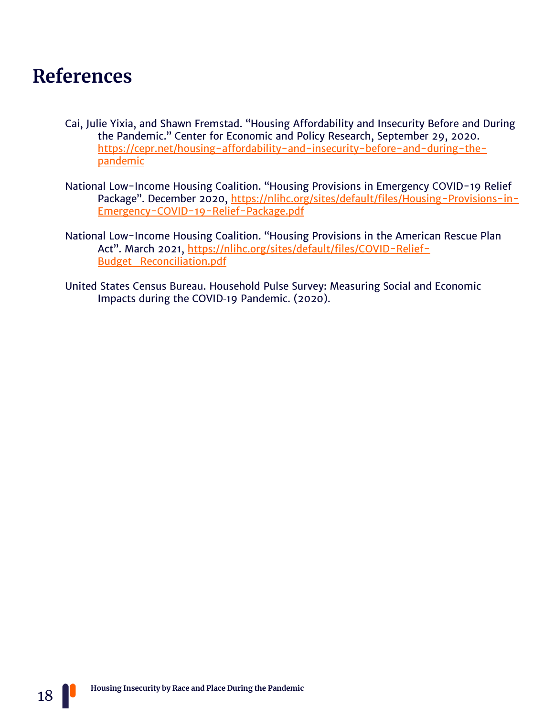### **References**

- Cai, Julie Yixia, and Shawn Fremstad. "Housing Affordability and Insecurity Before and During the Pandemic." Center for Economic and Policy Research, September 29, 2020. [https://cepr.net/housing-affordability-and-insecurity-before-and-during-the](https://cepr.net/housing-affordability-and-insecurity-before-and-during-the-pandemic)[pandemic](https://cepr.net/housing-affordability-and-insecurity-before-and-during-the-pandemic)
- National Low-Income Housing Coalition. "Housing Provisions in Emergency COVID-19 Relief Package". December 2020, [https://nlihc.org/sites/default/files/Housing-Provisions-in-](https://nlihc.org/sites/default/files/Housing-Provisions-in-Emergency-COVID-19-Relief-Package.pdf)[Emergency-COVID-19-Relief-Package.pdf](https://nlihc.org/sites/default/files/Housing-Provisions-in-Emergency-COVID-19-Relief-Package.pdf)
- National Low-Income Housing Coalition. "Housing Provisions in the American Rescue Plan Act". March 2021, [https://nlihc.org/sites/default/files/COVID-Relief-](https://nlihc.org/sites/default/files/COVID-Relief-Budget_Reconciliation.pdf?utm_source=NLIHC+All+Subscribers&utm_campaign=c62cbba4d8-cta_022420&utm_medium=email&utm_term=0_e090383b5e-c62cbba4d8-292697541&ct=t(cta_022420))[Budget\\_Reconciliation.pdf](https://nlihc.org/sites/default/files/COVID-Relief-Budget_Reconciliation.pdf?utm_source=NLIHC+All+Subscribers&utm_campaign=c62cbba4d8-cta_022420&utm_medium=email&utm_term=0_e090383b5e-c62cbba4d8-292697541&ct=t(cta_022420))
- United States Census Bureau. Household Pulse Survey: Measuring Social and Economic Impacts during the COVID‐19 Pandemic. (2020).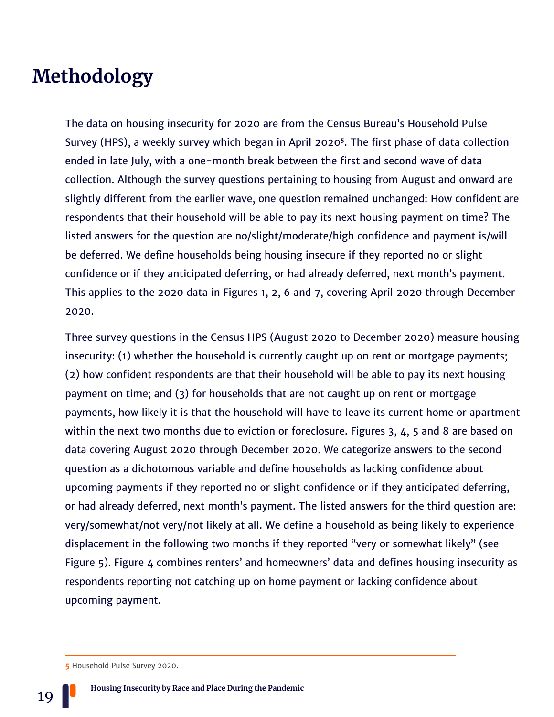### **Methodology**

The data on housing insecurity for 2020 are from the Census Bureau's Household Pulse Survey (HPS), a weekly survey which began in April 2020**<sup>5</sup>** . The first phase of data collection ended in late July, with a one-month break between the first and second wave of data collection. Although the survey questions pertaining to housing from August and onward are slightly different from the earlier wave, one question remained unchanged: How confident are respondents that their household will be able to pay its next housing payment on time? The listed answers for the question are no/slight/moderate/high confidence and payment is/will be deferred. We define households being housing insecure if they reported no or slight confidence or if they anticipated deferring, or had already deferred, next month's payment. This applies to the 2020 data in Figures 1, 2, 6 and 7, covering April 2020 through December 2020.

Three survey questions in the Census HPS (August 2020 to December 2020) measure housing insecurity: (1) whether the household is currently caught up on rent or mortgage payments; (2) how confident respondents are that their household will be able to pay its next housing payment on time; and (3) for households that are not caught up on rent or mortgage payments, how likely it is that the household will have to leave its current home or apartment within the next two months due to eviction or foreclosure. Figures 3, 4, 5 and 8 are based on data covering August 2020 through December 2020. We categorize answers to the second question as a dichotomous variable and define households as lacking confidence about upcoming payments if they reported no or slight confidence or if they anticipated deferring, or had already deferred, next month's payment. The listed answers for the third question are: very/somewhat/not very/not likely at all. We define a household as being likely to experience displacement in the following two months if they reported "very or somewhat likely" (see Figure 5). Figure 4 combines renters' and homeowners' data and defines housing insecurity as respondents reporting not catching up on home payment or lacking confidence about upcoming payment.

**<sup>5</sup>** Household Pulse Survey 2020.